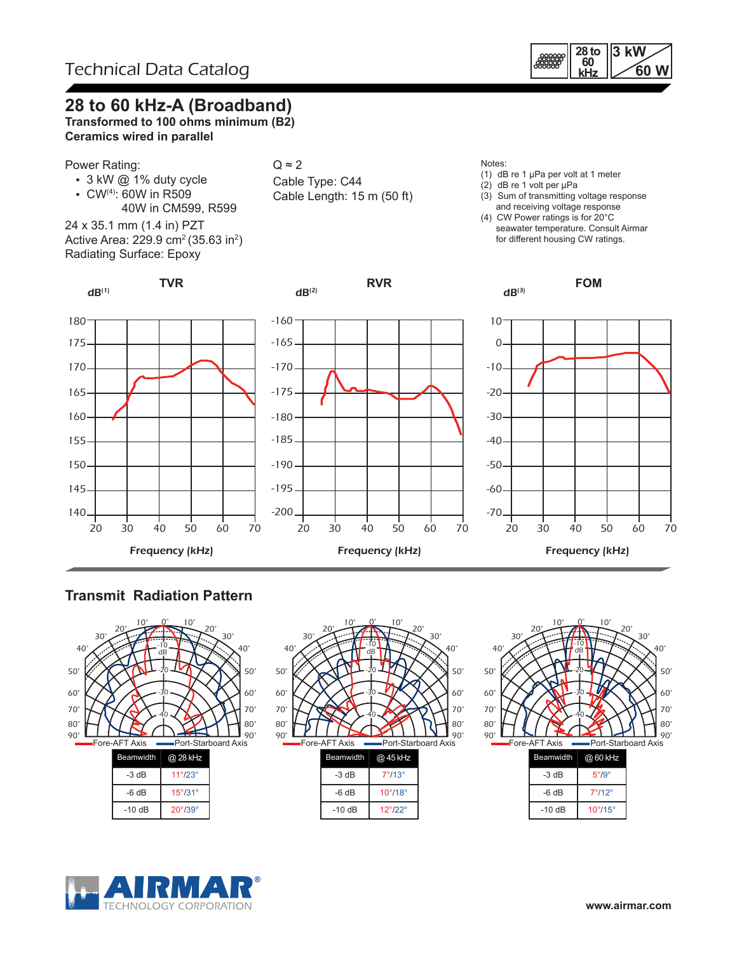

### **28 to 60 kHz-A (Broadband)**

**Transformed to 100 ohms minimum (B2) Ceramics wired in parallel**

#### Power Rating:

- 3 kW @ 1% duty cycle
- CW(4): 60W in R509
- 40W in CM599, R599 24 x 35.1 mm (1.4 in) PZT

Active Area: 229.9 cm² (35.63 in²) Radiating Surface: Epoxy

**TVR**

### $Q \approx 2$

Cable Type: C44 Cable Length: 15 m (50 ft)

#### Notes:

 $dB^{(3)}$ 

- (1) dB re 1 µPa per volt at 1 meter
- (2) dB re 1 volt per µPa
- (3) Sum of transmitting voltage response and receiving voltage response
- (4) CW Power ratings is for 20°C seawater temperature. Consult Airmar for different housing CW ratings.

**FOM**





**RVR**



### **Transmit Radiation Pattern**





| $-3 dB$ | $7^{\circ}/13^{\circ}$  |
|---------|-------------------------|
| $-6 dB$ | $10^{\circ}/18^{\circ}$ |
| $-10dB$ | $12^{\circ}/22^{\circ}$ |



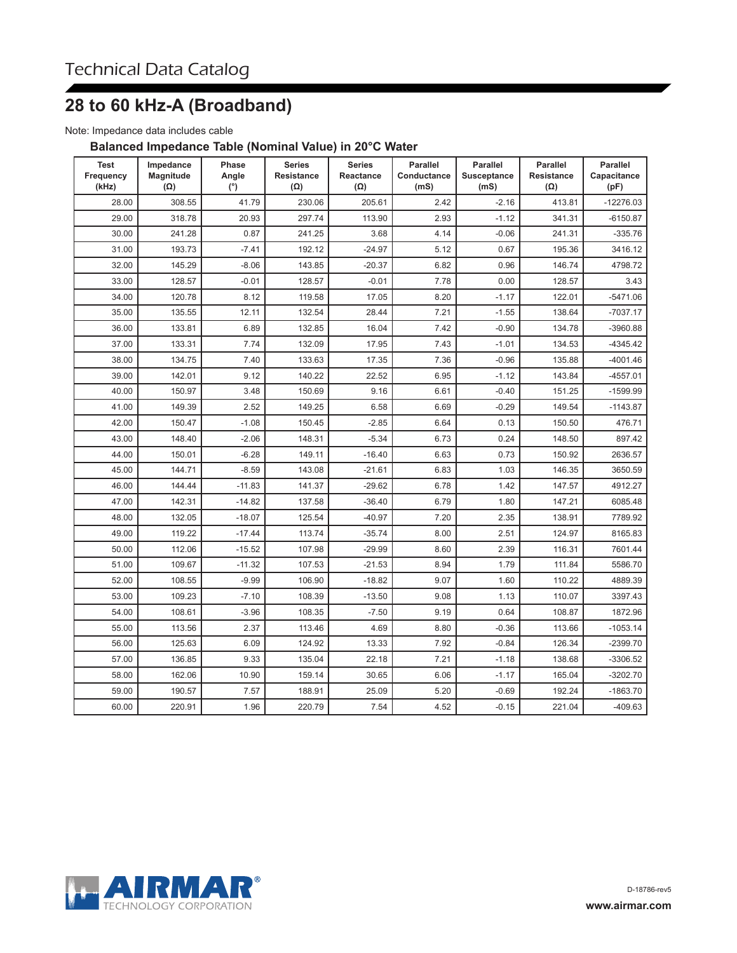# **28 to 60 kHz-A (Broadband)**

Note: Impedance data includes cable

#### **Balanced Impedance Table (Nominal Value) in 20°C Water**

| <b>Test</b><br>Frequency<br>(kHz) | Impedance<br>Magnitude<br>$(\Omega)$ | Phase<br>Angle<br>(°) | <b>Series</b><br><b>Resistance</b><br>$(\Omega)$ | <b>Series</b><br>Reactance<br>$(\Omega)$ | Parallel<br>Conductance<br>(mS) | Parallel<br><b>Susceptance</b><br>(mS) | <b>Parallel</b><br><b>Resistance</b><br>$(\Omega)$ | Parallel<br>Capacitance<br>(pF) |
|-----------------------------------|--------------------------------------|-----------------------|--------------------------------------------------|------------------------------------------|---------------------------------|----------------------------------------|----------------------------------------------------|---------------------------------|
| 28.00                             | 308.55                               | 41.79                 | 230.06                                           | 205.61                                   | 2.42                            | $-2.16$                                | 413.81                                             | $-12276.03$                     |
| 29.00                             | 318.78                               | 20.93                 | 297.74                                           | 113.90                                   | 2.93                            | $-1.12$                                | 341.31                                             | $-6150.87$                      |
| 30.00                             | 241.28                               | 0.87                  | 241.25                                           | 3.68                                     | 4.14                            | $-0.06$                                | 241.31                                             | $-335.76$                       |
| 31.00                             | 193.73                               | $-7.41$               | 192.12                                           | $-24.97$                                 | 5.12                            | 0.67                                   | 195.36                                             | 3416.12                         |
| 32.00                             | 145.29                               | $-8.06$               | 143.85                                           | $-20.37$                                 | 6.82                            | 0.96                                   | 146.74                                             | 4798.72                         |
| 33.00                             | 128.57                               | $-0.01$               | 128.57                                           | $-0.01$                                  | 7.78                            | 0.00                                   | 128.57                                             | 3.43                            |
| 34.00                             | 120.78                               | 8.12                  | 119.58                                           | 17.05                                    | 8.20                            | $-1.17$                                | 122.01                                             | $-5471.06$                      |
| 35.00                             | 135.55                               | 12.11                 | 132.54                                           | 28.44                                    | 7.21                            | $-1.55$                                | 138.64                                             | $-7037.17$                      |
| 36.00                             | 133.81                               | 6.89                  | 132.85                                           | 16.04                                    | 7.42                            | $-0.90$                                | 134.78                                             | $-3960.88$                      |
| 37.00                             | 133.31                               | 7.74                  | 132.09                                           | 17.95                                    | 7.43                            | $-1.01$                                | 134.53                                             | $-4345.42$                      |
| 38.00                             | 134.75                               | 7.40                  | 133.63                                           | 17.35                                    | 7.36                            | $-0.96$                                | 135.88                                             | $-4001.46$                      |
| 39.00                             | 142.01                               | 9.12                  | 140.22                                           | 22.52                                    | 6.95                            | $-1.12$                                | 143.84                                             | $-4557.01$                      |
| 40.00                             | 150.97                               | 3.48                  | 150.69                                           | 9.16                                     | 6.61                            | $-0.40$                                | 151.25                                             | $-1599.99$                      |
| 41.00                             | 149.39                               | 2.52                  | 149.25                                           | 6.58                                     | 6.69                            | $-0.29$                                | 149.54                                             | $-1143.87$                      |
| 42.00                             | 150.47                               | $-1.08$               | 150.45                                           | $-2.85$                                  | 6.64                            | 0.13                                   | 150.50                                             | 476.71                          |
| 43.00                             | 148.40                               | $-2.06$               | 148.31                                           | $-5.34$                                  | 6.73                            | 0.24                                   | 148.50                                             | 897.42                          |
| 44.00                             | 150.01                               | $-6.28$               | 149.11                                           | $-16.40$                                 | 6.63                            | 0.73                                   | 150.92                                             | 2636.57                         |
| 45.00                             | 144.71                               | $-8.59$               | 143.08                                           | $-21.61$                                 | 6.83                            | 1.03                                   | 146.35                                             | 3650.59                         |
| 46.00                             | 144.44                               | $-11.83$              | 141.37                                           | $-29.62$                                 | 6.78                            | 1.42                                   | 147.57                                             | 4912.27                         |
| 47.00                             | 142.31                               | $-14.82$              | 137.58                                           | $-36.40$                                 | 6.79                            | 1.80                                   | 147.21                                             | 6085.48                         |
| 48.00                             | 132.05                               | $-18.07$              | 125.54                                           | $-40.97$                                 | 7.20                            | 2.35                                   | 138.91                                             | 7789.92                         |
| 49.00                             | 119.22                               | $-17.44$              | 113.74                                           | $-35.74$                                 | 8.00                            | 2.51                                   | 124.97                                             | 8165.83                         |
| 50.00                             | 112.06                               | $-15.52$              | 107.98                                           | $-29.99$                                 | 8.60                            | 2.39                                   | 116.31                                             | 7601.44                         |
| 51.00                             | 109.67                               | $-11.32$              | 107.53                                           | $-21.53$                                 | 8.94                            | 1.79                                   | 111.84                                             | 5586.70                         |
| 52.00                             | 108.55                               | $-9.99$               | 106.90                                           | $-18.82$                                 | 9.07                            | 1.60                                   | 110.22                                             | 4889.39                         |
| 53.00                             | 109.23                               | $-7.10$               | 108.39                                           | $-13.50$                                 | 9.08                            | 1.13                                   | 110.07                                             | 3397.43                         |
| 54.00                             | 108.61                               | $-3.96$               | 108.35                                           | $-7.50$                                  | 9.19                            | 0.64                                   | 108.87                                             | 1872.96                         |
| 55.00                             | 113.56                               | 2.37                  | 113.46                                           | 4.69                                     | 8.80                            | $-0.36$                                | 113.66                                             | $-1053.14$                      |
| 56.00                             | 125.63                               | 6.09                  | 124.92                                           | 13.33                                    | 7.92                            | $-0.84$                                | 126.34                                             | $-2399.70$                      |
| 57.00                             | 136.85                               | 9.33                  | 135.04                                           | 22.18                                    | 7.21                            | $-1.18$                                | 138.68                                             | -3306.52                        |
| 58.00                             | 162.06                               | 10.90                 | 159.14                                           | 30.65                                    | 6.06                            | $-1.17$                                | 165.04                                             | $-3202.70$                      |
| 59.00                             | 190.57                               | 7.57                  | 188.91                                           | 25.09                                    | 5.20                            | $-0.69$                                | 192.24                                             | $-1863.70$                      |
| 60.00                             | 220.91                               | 1.96                  | 220.79                                           | 7.54                                     | 4.52                            | $-0.15$                                | 221.04                                             | $-409.63$                       |

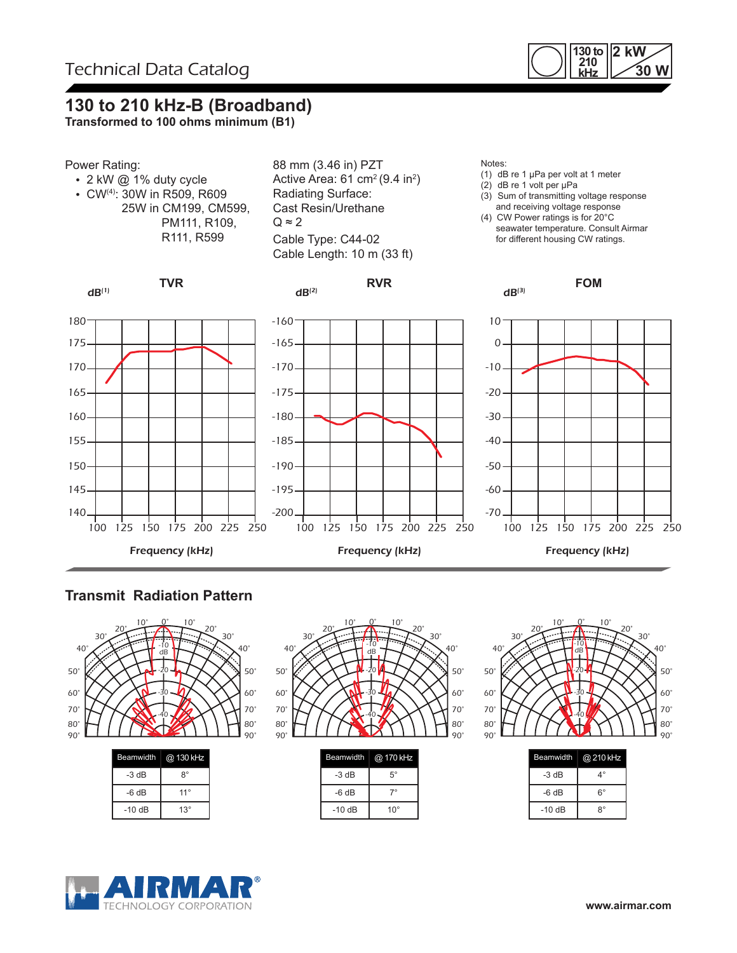

## **130 to 210 kHz-B (Broadband)**

**Transformed to 100 ohms minimum (B1)**



### **Transmit Radiation Pattern**



| $-3 dB$  | 8°           |
|----------|--------------|
| $-6 dB$  | $11^{\circ}$ |
| $-10$ dB | $13^{\circ}$ |
|          |              |



| $5^{\circ}$  |
|--------------|
|              |
| $10^{\circ}$ |
|              |



| <b>Beamwidth</b> | @ 210 kHz |
|------------------|-----------|
| -3 dB            | 4°        |
| -6 dB            | 6°        |
| $-10dB$          | ጸ°        |